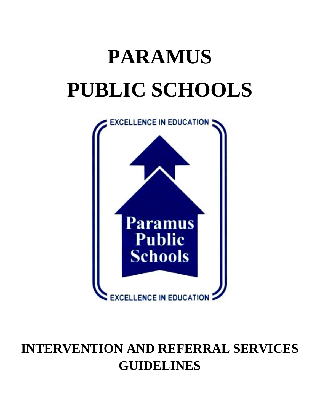# **PARAMUS PUBLIC SCHOOLS**



# **INTERVENTION AND REFERRAL SERVICES GUIDELINES**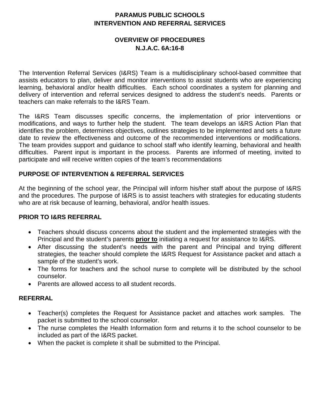# **OVERVIEW OF PROCEDURES N.J.A.C. 6A:16-8**

The Intervention Referral Services (I&RS) Team is a multidisciplinary school-based committee that assists educators to plan, deliver and monitor interventions to assist students who are experiencing learning, behavioral and/or health difficulties. Each school coordinates a system for planning and delivery of intervention and referral services designed to address the student's needs. Parents or teachers can make referrals to the I&RS Team.

The I&RS Team discusses specific concerns, the implementation of prior interventions or modifications, and ways to further help the student. The team develops an I&RS Action Plan that identifies the problem, determines objectives, outlines strategies to be implemented and sets a future date to review the effectiveness and outcome of the recommended interventions or modifications. The team provides support and guidance to school staff who identify learning, behavioral and health difficulties. Parent input is important in the process. Parents are informed of meeting, invited to participate and will receive written copies of the team's recommendations

# **PURPOSE OF INTERVENTION & REFERRAL SERVICES**

At the beginning of the school year, the Principal will inform his/her staff about the purpose of I&RS and the procedures. The purpose of I&RS is to assist teachers with strategies for educating students who are at risk because of learning, behavioral, and/or health issues.

# **PRIOR TO I&RS REFERRAL**

- Teachers should discuss concerns about the student and the implemented strategies with the Principal and the student's parents **prior to** initiating a request for assistance to I&RS.
- After discussing the student's needs with the parent and Principal and trying different strategies, the teacher should complete the I&RS Request for Assistance packet and attach a sample of the student's work.
- The forms for teachers and the school nurse to complete will be distributed by the school counselor.
- Parents are allowed access to all student records.

# **REFERRAL**

- Teacher(s) completes the Request for Assistance packet and attaches work samples. The packet is submitted to the school counselor.
- The nurse completes the Health Information form and returns it to the school counselor to be included as part of the I&RS packet.
- When the packet is complete it shall be submitted to the Principal.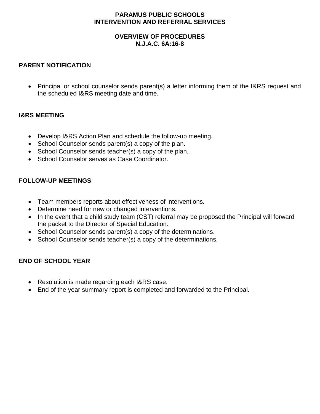# **OVERVIEW OF PROCEDURES N.J.A.C. 6A:16-8**

# **PARENT NOTIFICATION**

• Principal or school counselor sends parent(s) a letter informing them of the I&RS request and the scheduled I&RS meeting date and time.

# **I&RS MEETING**

- Develop I&RS Action Plan and schedule the follow-up meeting.
- School Counselor sends parent(s) a copy of the plan.
- School Counselor sends teacher(s) a copy of the plan.
- School Counselor serves as Case Coordinator.

# **FOLLOW-UP MEETINGS**

- Team members reports about effectiveness of interventions.
- Determine need for new or changed interventions.
- In the event that a child study team (CST) referral may be proposed the Principal will forward the packet to the Director of Special Education.
- School Counselor sends parent(s) a copy of the determinations.
- School Counselor sends teacher(s) a copy of the determinations.

# **END OF SCHOOL YEAR**

- Resolution is made regarding each I&RS case.
- End of the year summary report is completed and forwarded to the Principal.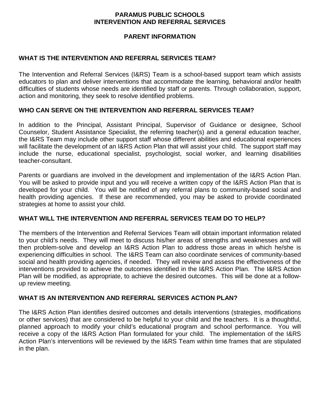# **PARENT INFORMATION**

# **WHAT IS THE INTERVENTION AND REFERRAL SERVICES TEAM?**

The Intervention and Referral Services (I&RS) Team is a school-based support team which assists educators to plan and deliver interventions that accommodate the learning, behavioral and/or health difficulties of students whose needs are identified by staff or parents. Through collaboration, support, action and monitoring, they seek to resolve identified problems.

# **WHO CAN SERVE ON THE INTERVENTION AND REFERRAL SERVICES TEAM?**

In addition to the Principal, Assistant Principal, Supervisor of Guidance or designee, School Counselor, Student Assistance Specialist, the referring teacher(s) and a general education teacher, the I&RS Team may include other support staff whose different abilities and educational experiences will facilitate the development of an I&RS Action Plan that will assist your child. The support staff may include the nurse, educational specialist, psychologist, social worker, and learning disabilities teacher-consultant.

Parents or guardians are involved in the development and implementation of the I&RS Action Plan. You will be asked to provide input and you will receive a written copy of the I&RS Action Plan that is developed for your child. You will be notified of any referral plans to community-based social and health providing agencies. If these are recommended, you may be asked to provide coordinated strategies at home to assist your child.

# **WHAT WILL THE INTERVENTION AND REFERRAL SERVICES TEAM DO TO HELP?**

The members of the Intervention and Referral Services Team will obtain important information related to your child's needs. They will meet to discuss his/her areas of strengths and weaknesses and will then problem-solve and develop an I&RS Action Plan to address those areas in which he/she is experiencing difficulties in school. The I&RS Team can also coordinate services of community-based social and health providing agencies, if needed. They will review and assess the effectiveness of the interventions provided to achieve the outcomes identified in the I&RS Action Plan. The I&RS Action Plan will be modified, as appropriate, to achieve the desired outcomes. This will be done at a followup review meeting.

# **WHAT IS AN INTERVENTION AND REFERRAL SERVICES ACTION PLAN?**

The I&RS Action Plan identifies desired outcomes and details interventions (strategies, modifications or other services) that are considered to be helpful to your child and the teachers. It is a thoughtful, planned approach to modify your child's educational program and school performance. You will receive a copy of the I&RS Action Plan formulated for your child. The implementation of the I&RS Action Plan's interventions will be reviewed by the I&RS Team within time frames that are stipulated in the plan.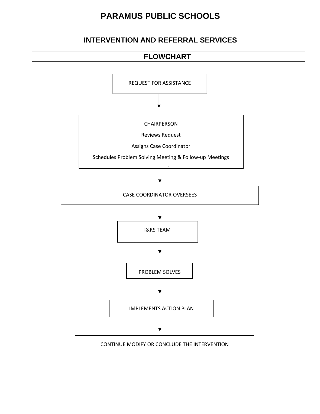# **PARAMUS PUBLIC SCHOOLS**

# **INTERVENTION AND REFERRAL SERVICES**

# **FLOWCHART**

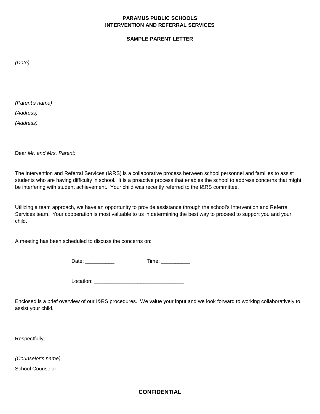#### **SAMPLE PARENT LETTER**

*(Date)*

*(Parent's name)*

*(Address)*

*(Address)*

Dear *Mr. and Mrs. Parent:*

The Intervention and Referral Services (I&RS) is a collaborative process between school personnel and families to assist students who are having difficulty in school. It is a proactive process that enables the school to address concerns that might be interfering with student achievement. Your child was recently referred to the I&RS committee.

Utilizing a team approach, we have an opportunity to provide assistance through the school's Intervention and Referral Services team. Your cooperation is most valuable to us in determining the best way to proceed to support you and your child.

A meeting has been scheduled to discuss the concerns on:

Date: \_\_\_\_\_\_\_\_\_\_ Time: \_\_\_\_\_\_\_\_\_\_

Location:

Enclosed is a brief overview of our I&RS procedures. We value your input and we look forward to working collaboratively to assist your child.

Respectfully,

*(Counselor's name)* School Counselor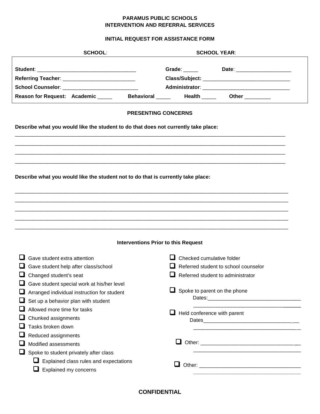#### **INITIAL REQUEST FOR ASSISTANCE FORM**

| <b>SCHOOL:</b>                                                                     | <b>SCHOOL YEAR:</b>                                                              |
|------------------------------------------------------------------------------------|----------------------------------------------------------------------------------|
| Referring Teacher: ______________________________                                  | Grade: _____<br>Date: _______________________                                    |
| School Counselor: ______________________________                                   |                                                                                  |
|                                                                                    | Reason for Request: Academic ______ Behavioral _____ Health _____ Other ________ |
|                                                                                    |                                                                                  |
|                                                                                    | <b>PRESENTING CONCERNS</b>                                                       |
| Describe what you would like the student to do that does not currently take place: |                                                                                  |
|                                                                                    |                                                                                  |
|                                                                                    |                                                                                  |
|                                                                                    |                                                                                  |
| Describe what you would like the student not to do that is currently take place:   |                                                                                  |
|                                                                                    |                                                                                  |
|                                                                                    |                                                                                  |
|                                                                                    |                                                                                  |
|                                                                                    |                                                                                  |
|                                                                                    |                                                                                  |
|                                                                                    |                                                                                  |
|                                                                                    | <b>Interventions Prior to this Request</b>                                       |
| Gave student extra attention                                                       | $\Box$ Checked cumulative folder                                                 |
| Gave student help after class/school                                               | Referred student to school counselor                                             |
| Changed student's seat                                                             | ப<br>Referred student to administrator                                           |
| Gave student special work at his/her level                                         |                                                                                  |
| Arranged individual instruction for student                                        | Spoke to parent on the phone<br>⊔                                                |
| Set up a behavior plan with student                                                |                                                                                  |
| Allowed more time for tasks                                                        |                                                                                  |
| Chunked assignments                                                                | Held conference with parent<br>u                                                 |
| Tasks broken down                                                                  |                                                                                  |
| Reduced assignments                                                                |                                                                                  |
| Modified assessments                                                               |                                                                                  |
| Spoke to student privately after class                                             |                                                                                  |
| $\Box$ Explained class rules and expectations                                      |                                                                                  |
| Explained my concerns                                                              | ᆸ                                                                                |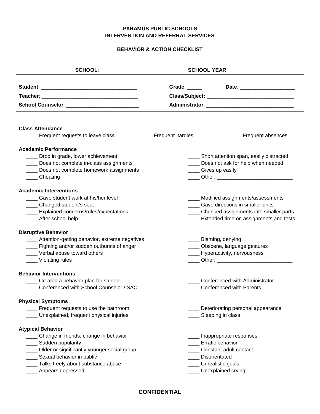#### **BEHAVIOR & ACTION CHECKLIST**

| <b>SCHOOL:</b>                                     |                       | <b>SCHOOL YEAR:</b>                              |
|----------------------------------------------------|-----------------------|--------------------------------------------------|
|                                                    |                       | Grade: _______ Date: ___________________         |
|                                                    |                       |                                                  |
| School Counselor: <u>2008 - 2008 - 2009</u>        |                       |                                                  |
|                                                    |                       |                                                  |
| <b>Class Attendance</b>                            |                       |                                                  |
| _ Frequent requests to leave class                 | ____ Frequent tardies | ____ Frequent absences                           |
| <b>Academic Performance</b>                        |                       |                                                  |
| ___ Drop in grade, lower achievement               |                       | ____ Short attention span, easily distracted     |
| Does not complete in-class assignments             |                       | ____ Does not ask for help when needed           |
| ___ Does not complete homework assignments         |                       | ___ Gives up easily                              |
| ____Cheating                                       |                       | ___ Other: _____________________________         |
| <b>Academic Interventions</b>                      |                       |                                                  |
| Gave student work at his/her level                 |                       | ____ Modified assignments/assessments            |
| ___ Changed student's seat                         |                       | Gave directions in smaller units                 |
| ____ Explained concerns/rules/expectations         |                       | _____ Chunked assignments into smaller parts     |
| After school help                                  |                       | ____ Extended time on assignments and tests      |
| <b>Disruptive Behavior</b>                         |                       |                                                  |
| ____ Attention-getting behavior, extreme negatives |                       | ____ Blaming, denying                            |
| ___ Fighting and/or sudden outbursts of anger      |                       | _____ Obscene, language gestures                 |
| Verbal abuse toward others                         |                       | ____ Hyperactivity, nervousness                  |
| ____ Violating rules                               |                       | _____ Other: ___________________________________ |
| <b>Behavior Interventions</b>                      |                       |                                                  |
| Created a behavior plan for student                |                       | Conferenced with Administrator                   |
| Conferenced with School Counselor / SAC            |                       | <b>Conferenced with Parents</b>                  |
| <b>Physical Symptoms</b>                           |                       |                                                  |
| Frequent requests to use the bathroom              |                       | Deteriorating personal appearance                |
| Unexplained, frequent physical injuries            |                       | Sleeping in class                                |
| <b>Atypical Behavior</b>                           |                       |                                                  |
| _ Change in friends, change in behavior            |                       | _Inappropriate responses                         |
| Sudden popularity                                  |                       | <b>Erratic behavior</b>                          |
| ___ Older or significantly younger social group    |                       | Constant adult contact                           |
| Sexual behavior in public                          |                       | Disorientated                                    |
| ___ Talks freely about substance abuse             |                       | Unrealistic goals                                |
| Appears depressed                                  |                       | Unexplained crying                               |
|                                                    |                       |                                                  |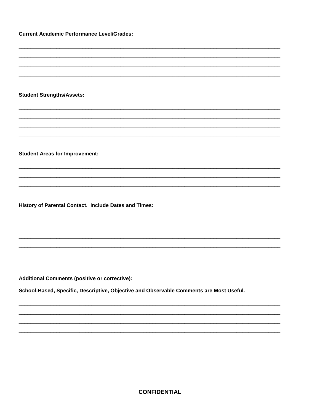**Current Academic Performance Level/Grades:** 

**Student Strengths/Assets:** 

**Student Areas for Improvement:** 

History of Parental Contact. Include Dates and Times:

**Additional Comments (positive or corrective):** 

School-Based, Specific, Descriptive, Objective and Observable Comments are Most Useful.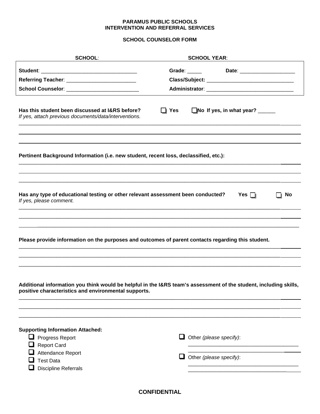#### **SCHOOL COUNSELOR FORM**

| <b>SCHOOL:</b>                                                                                                                                                            |            | <b>SCHOOL YEAR:</b>                                |                              |    |
|---------------------------------------------------------------------------------------------------------------------------------------------------------------------------|------------|----------------------------------------------------|------------------------------|----|
| School Counselor: ___________________________                                                                                                                             |            |                                                    | Date: ______________________ |    |
| Has this student been discussed at I&RS before?<br>If yes, attach previous documents/data/interventions.                                                                  | $\Box$ Yes | No If yes, in what year? ______                    |                              |    |
| Pertinent Background Information (i.e. new student, recent loss, declassified, etc.):                                                                                     |            |                                                    |                              |    |
| Has any type of educational testing or other relevant assessment been conducted?<br>If yes, please comment.                                                               |            |                                                    | Yes $\Box$                   | No |
| Please provide information on the purposes and outcomes of parent contacts regarding this student.                                                                        |            |                                                    |                              |    |
| Additional information you think would be helpful in the I&RS team's assessment of the student, including skills,<br>positive characteristics and environmental supports. |            |                                                    |                              |    |
| <b>Supporting Information Attached:</b><br>$\Box$ Progress Report<br>$\Box$ Report Card<br>Attendance Report<br><b>Test Data</b><br><b>Discipline Referrals</b>           |            | Other (please specify):<br>Other (please specify): |                              |    |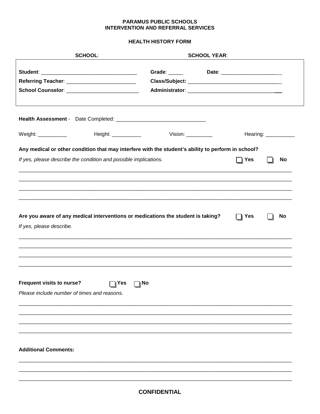#### **HEALTH HISTORY FORM**

| <b>SCHOOL:</b>                                                                                               |               | <b>SCHOOL YEAR:</b>                                      |                               |                      |
|--------------------------------------------------------------------------------------------------------------|---------------|----------------------------------------------------------|-------------------------------|----------------------|
|                                                                                                              | Grade: ______ |                                                          | Date: _______________________ |                      |
|                                                                                                              |               | Administrator: ___________________________________       |                               |                      |
|                                                                                                              |               |                                                          |                               |                      |
| Weight: ____________<br>Height: ____________                                                                 |               | Vision: $\frac{1}{\sqrt{1-\frac{1}{2}}\cdot\frac{1}{2}}$ |                               | Hearing: ___________ |
| Any medical or other condition that may interfere with the student's ability to perform in school?           |               |                                                          |                               |                      |
| If yes, please describe the condition and possible implications.                                             |               |                                                          | Yes                           | <b>No</b>            |
| Are you aware of any medical interventions or medications the student is taking?<br>If yes, please describe. |               |                                                          | $\Box$   Yes                  | <b>No</b>            |
| <b>Frequent visits to nurse?</b><br>$\Box$ Yes<br>$\Box$ l No<br>Please include number of times and reasons. |               |                                                          |                               |                      |
| <b>Additional Comments:</b>                                                                                  |               |                                                          |                               |                      |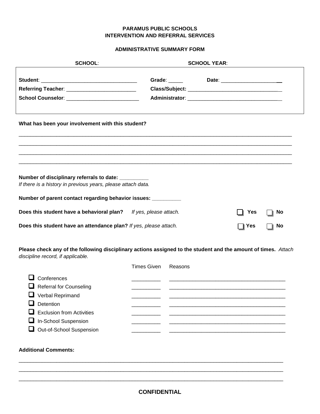#### **ADMINISTRATIVE SUMMARY FORM**

| <b>SCHOOL:</b>                                                                                                                                                                        | <b>SCHOOL YEAR:</b>                       |                        |
|---------------------------------------------------------------------------------------------------------------------------------------------------------------------------------------|-------------------------------------------|------------------------|
| School Counselor: ___________________________                                                                                                                                         | Grade: _______ Date: ____________________ |                        |
| What has been your involvement with this student?                                                                                                                                     |                                           |                        |
| Number of disciplinary referrals to date: __________<br>If there is a history in previous years, please attach data.<br>Number of parent contact regarding behavior issues: _________ |                                           |                        |
| Does this student have a behavioral plan? If yes, please attach.<br>Does this student have an attendance plan? If yes, please attach.                                                 | Yes<br>Yes                                | <b>No</b><br><b>No</b> |

**Please check any of the following disciplinary actions assigned to the student and the amount of times.** *Attach discipline record, if applicable.*

|                                  | <b>Times Given</b> | Reasons |
|----------------------------------|--------------------|---------|
| Conferences                      |                    |         |
| $\Box$ Referral for Counseling   |                    |         |
| $\Box$ Verbal Reprimand          |                    |         |
| Detention                        |                    |         |
| $\Box$ Exclusion from Activities |                    |         |
| In-School Suspension             |                    |         |
| Out-of-School Suspension         |                    |         |

#### **Additional Comments:**

\_\_\_\_\_\_\_\_\_\_\_\_\_\_\_\_\_\_\_\_\_\_\_\_\_\_\_\_\_\_\_\_\_\_\_\_\_\_\_\_\_\_\_\_\_\_\_\_\_\_\_\_\_\_\_\_\_\_\_\_\_\_\_\_\_\_\_\_\_\_\_\_\_\_\_\_\_\_\_\_\_\_\_\_\_\_\_\_\_\_\_ \_\_\_\_\_\_\_\_\_\_\_\_\_\_\_\_\_\_\_\_\_\_\_\_\_\_\_\_\_\_\_\_\_\_\_\_\_\_\_\_\_\_\_\_\_\_\_\_\_\_\_\_\_\_\_\_\_\_\_\_\_\_\_\_\_\_\_\_\_\_\_\_\_\_\_\_\_\_\_\_\_\_\_\_\_\_\_\_\_\_\_ \_\_\_\_\_\_\_\_\_\_\_\_\_\_\_\_\_\_\_\_\_\_\_\_\_\_\_\_\_\_\_\_\_\_\_\_\_\_\_\_\_\_\_\_\_\_\_\_\_\_\_\_\_\_\_\_\_\_\_\_\_\_\_\_\_\_\_\_\_\_\_\_\_\_\_\_\_\_\_\_\_\_\_\_\_\_\_\_\_\_\_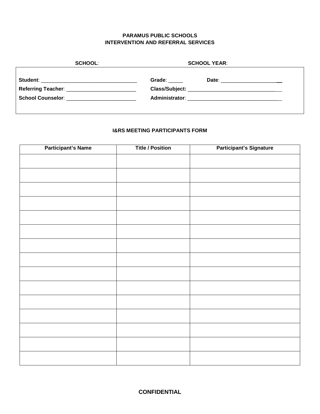| <b>SCHOOL:</b> | <b>SCHOOL YEAR:</b>                     |
|----------------|-----------------------------------------|
|                | Grade:<br>Date: _______________________ |
|                |                                         |
|                |                                         |
|                |                                         |

#### **I&RS MEETING PARTICIPANTS FORM**

| <b>Participant's Name</b> | <b>Title / Position</b> | <b>Participant's Signature</b> |
|---------------------------|-------------------------|--------------------------------|
|                           |                         |                                |
|                           |                         |                                |
|                           |                         |                                |
|                           |                         |                                |
|                           |                         |                                |
|                           |                         |                                |
|                           |                         |                                |
|                           |                         |                                |
|                           |                         |                                |
|                           |                         |                                |
|                           |                         |                                |
|                           |                         |                                |
|                           |                         |                                |
|                           |                         |                                |
|                           |                         |                                |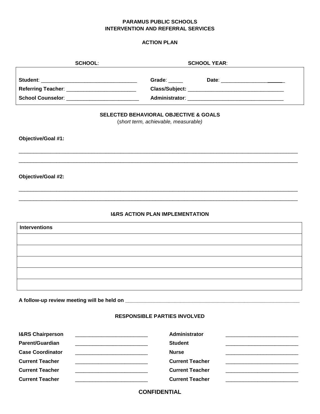#### **ACTION PLAN**

| <b>SCHOOL:</b>       |                                                                                          | <b>SCHOOL YEAR:</b> |  |
|----------------------|------------------------------------------------------------------------------------------|---------------------|--|
|                      |                                                                                          |                     |  |
|                      |                                                                                          |                     |  |
|                      |                                                                                          |                     |  |
|                      |                                                                                          |                     |  |
|                      | <b>SELECTED BEHAVIORAL OBJECTIVE &amp; GOALS</b><br>(short term, achievable, measurable) |                     |  |
|                      |                                                                                          |                     |  |
| Objective/Goal #1:   |                                                                                          |                     |  |
|                      |                                                                                          |                     |  |
|                      |                                                                                          |                     |  |
|                      |                                                                                          |                     |  |
| Objective/Goal #2:   |                                                                                          |                     |  |
|                      |                                                                                          |                     |  |
|                      |                                                                                          |                     |  |
|                      | <b>I&amp;RS ACTION PLAN IMPLEMENTATION</b>                                               |                     |  |
| <b>Interventions</b> |                                                                                          |                     |  |
|                      |                                                                                          |                     |  |
|                      |                                                                                          |                     |  |
|                      |                                                                                          |                     |  |
|                      |                                                                                          |                     |  |
|                      |                                                                                          |                     |  |
|                      |                                                                                          |                     |  |
|                      |                                                                                          |                     |  |

# **A follow-up review meeting will be held on \_\_\_\_\_\_\_\_\_\_\_\_\_\_\_\_\_\_\_\_\_\_\_\_\_\_\_\_\_\_\_\_\_\_\_\_\_\_\_\_\_\_\_\_\_\_\_\_\_\_\_\_\_\_\_\_\_\_\_\_**

#### **RESPONSIBLE PARTIES INVOLVED**

| <b>I&amp;RS Chairperson</b> | Administrator          |
|-----------------------------|------------------------|
|                             |                        |
| <b>Parent/Guardian</b>      | <b>Student</b>         |
| <b>Case Coordinator</b>     | <b>Nurse</b>           |
| <b>Current Teacher</b>      | <b>Current Teacher</b> |
|                             |                        |
| <b>Current Teacher</b>      | <b>Current Teacher</b> |
| <b>Current Teacher</b>      | <b>Current Teacher</b> |
|                             |                        |